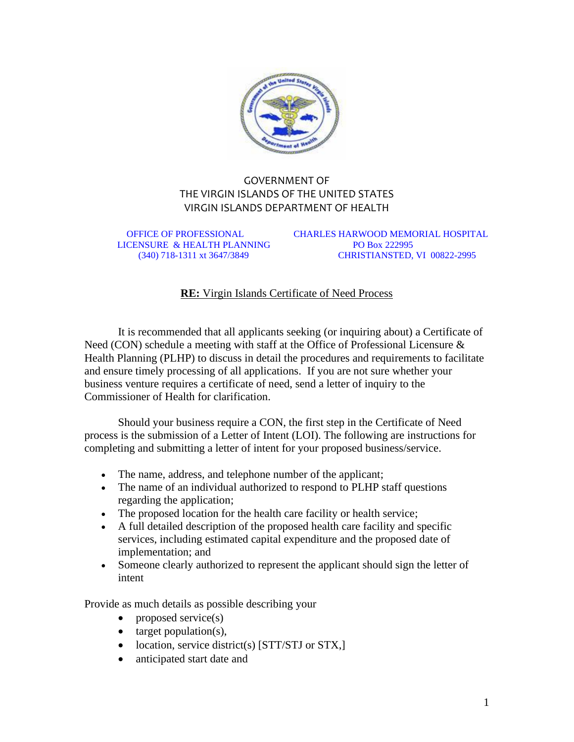

## GOVERNMENT OF THE VIRGIN ISLANDS OF THE UNITED STATES VIRGIN ISLANDS DEPARTMENT OF HEALTH

LICENSURE & HEALTH PLANNING PO Box 222995

 OFFICE OF PROFESSIONAL CHARLES HARWOOD MEMORIAL HOSPITAL (340) 718-1311 xt 3647/3849 CHRISTIANSTED, VI 00822-2995

## **RE:** Virgin Islands Certificate of Need Process

It is recommended that all applicants seeking (or inquiring about) a Certificate of Need (CON) schedule a meeting with staff at the Office of Professional Licensure & Health Planning (PLHP) to discuss in detail the procedures and requirements to facilitate and ensure timely processing of all applications. If you are not sure whether your business venture requires a certificate of need, send a letter of inquiry to the Commissioner of Health for clarification.

Should your business require a CON, the first step in the Certificate of Need process is the submission of a Letter of Intent (LOI). The following are instructions for completing and submitting a letter of intent for your proposed business/service.

- The name, address, and telephone number of the applicant;
- The name of an individual authorized to respond to PLHP staff questions regarding the application;
- The proposed location for the health care facility or health service;
- A full detailed description of the proposed health care facility and specific services, including estimated capital expenditure and the proposed date of implementation; and
- Someone clearly authorized to represent the applicant should sign the letter of intent

Provide as much details as possible describing your

- proposed service(s)
- $\bullet$  target population(s),
- location, service district(s) [STT/STJ or STX,]
- anticipated start date and